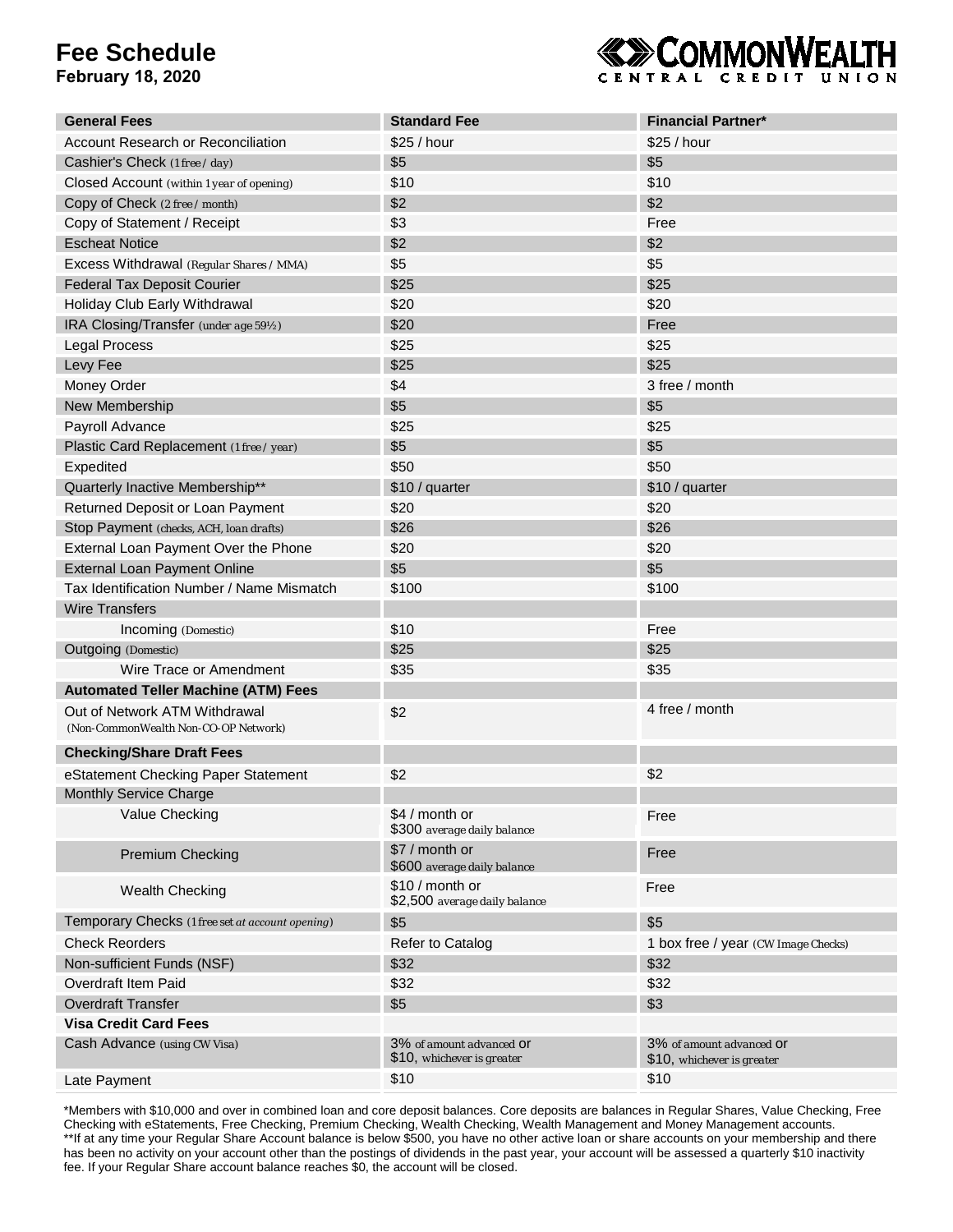## **Fee Schedule**

**February 18, 2020**



| <b>General Fees</b>                                                   | <b>Standard Fee</b>                                    | <b>Financial Partner*</b>                              |
|-----------------------------------------------------------------------|--------------------------------------------------------|--------------------------------------------------------|
| <b>Account Research or Reconciliation</b>                             | \$25 / hour                                            | \$25 / hour                                            |
| Cashier's Check (1 free / day)                                        | \$5                                                    | \$5                                                    |
| Closed Account (within 1 year of opening)                             | \$10                                                   | \$10                                                   |
| Copy of Check (2 free / month)                                        | \$2                                                    | \$2                                                    |
| Copy of Statement / Receipt                                           | \$3                                                    | Free                                                   |
| <b>Escheat Notice</b>                                                 | \$2                                                    | \$2                                                    |
| Excess Withdrawal (Regular Shares / MMA)                              | \$5                                                    | \$5                                                    |
| <b>Federal Tax Deposit Courier</b>                                    | \$25                                                   | \$25                                                   |
| Holiday Club Early Withdrawal                                         | \$20                                                   | \$20                                                   |
| IRA Closing/Transfer (under age 59½)                                  | \$20                                                   | Free                                                   |
| Legal Process                                                         | \$25                                                   | \$25                                                   |
| Levy Fee                                                              | \$25                                                   | \$25                                                   |
| Money Order                                                           | \$4                                                    | 3 free / month                                         |
| New Membership                                                        | \$5                                                    | \$5                                                    |
| Payroll Advance                                                       | \$25                                                   | \$25                                                   |
| Plastic Card Replacement (1 free / year)                              | \$5                                                    | \$5                                                    |
| Expedited                                                             | \$50                                                   | \$50                                                   |
| Quarterly Inactive Membership**                                       | \$10 / quarter                                         | \$10 / quarter                                         |
| Returned Deposit or Loan Payment                                      | \$20                                                   | \$20                                                   |
| Stop Payment (checks, ACH, loan drafts)                               | \$26                                                   | \$26                                                   |
| External Loan Payment Over the Phone                                  | \$20                                                   | \$20                                                   |
| <b>External Loan Payment Online</b>                                   | \$5                                                    | \$5                                                    |
| Tax Identification Number / Name Mismatch                             | \$100                                                  | \$100                                                  |
| <b>Wire Transfers</b>                                                 |                                                        |                                                        |
| Incoming (Domestic)                                                   | \$10                                                   | Free                                                   |
| Outgoing (Domestic)                                                   | \$25                                                   | \$25                                                   |
| Wire Trace or Amendment                                               | \$35                                                   | \$35                                                   |
| <b>Automated Teller Machine (ATM) Fees</b>                            |                                                        |                                                        |
| Out of Network ATM Withdrawal<br>(Non-CommonWealth Non-CO-OP Network) | \$2                                                    | 4 free / month                                         |
| <b>Checking/Share Draft Fees</b>                                      |                                                        |                                                        |
| eStatement Checking Paper Statement                                   | \$2                                                    | \$2                                                    |
| Monthly Service Charge                                                |                                                        |                                                        |
| Value Checking                                                        | \$4 / month or<br>\$300 average daily balance          | Free                                                   |
| <b>Premium Checking</b>                                               | \$7 / month or<br>\$600 average daily balance          | Free                                                   |
| Wealth Checking                                                       | \$10 / month or<br>\$2,500 average daily balance       | Free                                                   |
| Temporary Checks (1 free set at account opening)                      | \$5                                                    | \$5                                                    |
| <b>Check Reorders</b>                                                 | Refer to Catalog                                       | 1 box free / year (CW Image Checks)                    |
| Non-sufficient Funds (NSF)                                            | \$32                                                   | \$32                                                   |
| Overdraft Item Paid                                                   | \$32                                                   | \$32                                                   |
| <b>Overdraft Transfer</b>                                             | \$5                                                    | \$3                                                    |
| <b>Visa Credit Card Fees</b>                                          |                                                        |                                                        |
| Cash Advance (using CW Visa)                                          | 3% of amount advanced Of<br>\$10, whichever is greater | 3% of amount advanced Of<br>\$10, whichever is greater |
| Late Payment                                                          | \$10                                                   | \$10                                                   |

\*Members with \$10,000 and over in combined loan and core deposit balances. Core deposits are balances in Regular Shares, Value Checking, Free Checking with eStatements, Free Checking, Premium Checking, Wealth Checking, Wealth Management and Money Management accounts. \*\*If at any time your Regular Share Account balance is below \$500, you have no other active loan or share accounts on your membership and there has been no activity on your account other than the postings of dividends in the past year, your account will be assessed a quarterly \$10 inactivity fee. If your Regular Share account balance reaches \$0, the account will be closed.